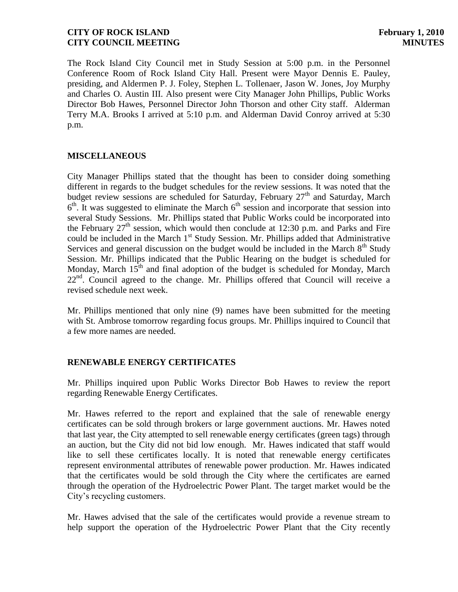The Rock Island City Council met in Study Session at 5:00 p.m. in the Personnel Conference Room of Rock Island City Hall. Present were Mayor Dennis E. Pauley, presiding, and Aldermen P. J. Foley, Stephen L. Tollenaer, Jason W. Jones, Joy Murphy and Charles O. Austin III. Also present were City Manager John Phillips, Public Works Director Bob Hawes, Personnel Director John Thorson and other City staff. Alderman Terry M.A. Brooks I arrived at 5:10 p.m. and Alderman David Conroy arrived at 5:30 p.m.

### **MISCELLANEOUS**

City Manager Phillips stated that the thought has been to consider doing something different in regards to the budget schedules for the review sessions. It was noted that the budget review sessions are scheduled for Saturday, February  $27<sup>th</sup>$  and Saturday, March  $6<sup>th</sup>$ . It was suggested to eliminate the March  $6<sup>th</sup>$  session and incorporate that session into several Study Sessions. Mr. Phillips stated that Public Works could be incorporated into the February  $27<sup>th</sup>$  session, which would then conclude at 12:30 p.m. and Parks and Fire could be included in the March 1<sup>st</sup> Study Session. Mr. Phillips added that Administrative Services and general discussion on the budget would be included in the March  $8<sup>th</sup>$  Study Session. Mr. Phillips indicated that the Public Hearing on the budget is scheduled for Monday, March  $15<sup>th</sup>$  and final adoption of the budget is scheduled for Monday, March  $22<sup>nd</sup>$ . Council agreed to the change. Mr. Phillips offered that Council will receive a revised schedule next week.

Mr. Phillips mentioned that only nine (9) names have been submitted for the meeting with St. Ambrose tomorrow regarding focus groups. Mr. Phillips inquired to Council that a few more names are needed.

# **RENEWABLE ENERGY CERTIFICATES**

Mr. Phillips inquired upon Public Works Director Bob Hawes to review the report regarding Renewable Energy Certificates.

Mr. Hawes referred to the report and explained that the sale of renewable energy certificates can be sold through brokers or large government auctions. Mr. Hawes noted that last year, the City attempted to sell renewable energy certificates (green tags) through an auction, but the City did not bid low enough. Mr. Hawes indicated that staff would like to sell these certificates locally. It is noted that renewable energy certificates represent environmental attributes of renewable power production. Mr. Hawes indicated that the certificates would be sold through the City where the certificates are earned through the operation of the Hydroelectric Power Plant. The target market would be the City's recycling customers.

Mr. Hawes advised that the sale of the certificates would provide a revenue stream to help support the operation of the Hydroelectric Power Plant that the City recently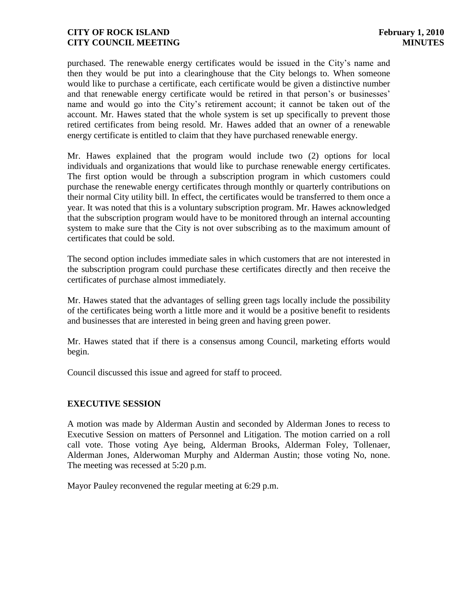purchased. The renewable energy certificates would be issued in the City's name and then they would be put into a clearinghouse that the City belongs to. When someone would like to purchase a certificate, each certificate would be given a distinctive number and that renewable energy certificate would be retired in that person's or businesses' name and would go into the City's retirement account; it cannot be taken out of the account. Mr. Hawes stated that the whole system is set up specifically to prevent those retired certificates from being resold. Mr. Hawes added that an owner of a renewable energy certificate is entitled to claim that they have purchased renewable energy.

Mr. Hawes explained that the program would include two (2) options for local individuals and organizations that would like to purchase renewable energy certificates. The first option would be through a subscription program in which customers could purchase the renewable energy certificates through monthly or quarterly contributions on their normal City utility bill. In effect, the certificates would be transferred to them once a year. It was noted that this is a voluntary subscription program. Mr. Hawes acknowledged that the subscription program would have to be monitored through an internal accounting system to make sure that the City is not over subscribing as to the maximum amount of certificates that could be sold.

The second option includes immediate sales in which customers that are not interested in the subscription program could purchase these certificates directly and then receive the certificates of purchase almost immediately.

Mr. Hawes stated that the advantages of selling green tags locally include the possibility of the certificates being worth a little more and it would be a positive benefit to residents and businesses that are interested in being green and having green power.

Mr. Hawes stated that if there is a consensus among Council, marketing efforts would begin.

Council discussed this issue and agreed for staff to proceed.

# **EXECUTIVE SESSION**

A motion was made by Alderman Austin and seconded by Alderman Jones to recess to Executive Session on matters of Personnel and Litigation. The motion carried on a roll call vote. Those voting Aye being, Alderman Brooks, Alderman Foley, Tollenaer, Alderman Jones, Alderwoman Murphy and Alderman Austin; those voting No, none. The meeting was recessed at 5:20 p.m.

Mayor Pauley reconvened the regular meeting at 6:29 p.m.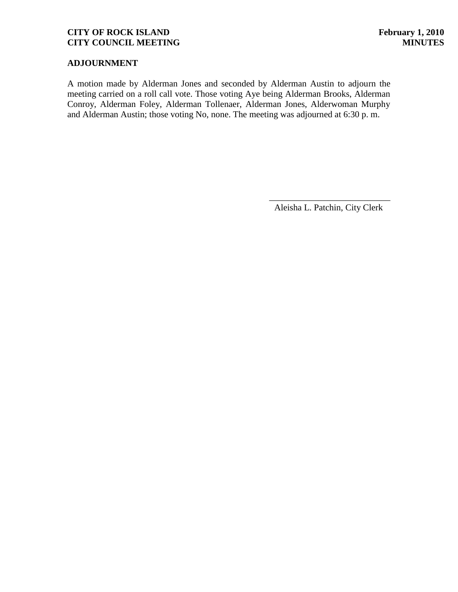# **ADJOURNMENT**

A motion made by Alderman Jones and seconded by Alderman Austin to adjourn the meeting carried on a roll call vote. Those voting Aye being Alderman Brooks, Alderman Conroy, Alderman Foley, Alderman Tollenaer, Alderman Jones, Alderwoman Murphy and Alderman Austin; those voting No, none. The meeting was adjourned at 6:30 p. m.

\_\_\_\_\_\_\_\_\_\_\_\_\_\_\_\_\_\_\_\_\_\_\_\_\_\_\_ Aleisha L. Patchin, City Clerk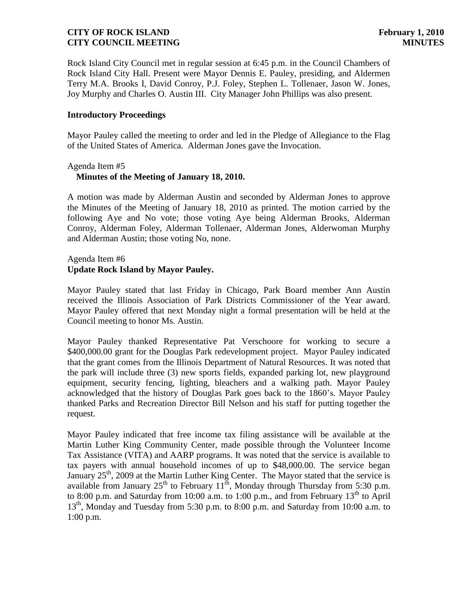Rock Island City Council met in regular session at 6:45 p.m. in the Council Chambers of Rock Island City Hall. Present were Mayor Dennis E. Pauley, presiding, and Aldermen Terry M.A. Brooks I, David Conroy, P.J. Foley, Stephen L. Tollenaer, Jason W. Jones, Joy Murphy and Charles O. Austin III. City Manager John Phillips was also present.

#### **Introductory Proceedings**

Mayor Pauley called the meeting to order and led in the Pledge of Allegiance to the Flag of the United States of America. Alderman Jones gave the Invocation.

#### Agenda Item #5  **Minutes of the Meeting of January 18, 2010.**

A motion was made by Alderman Austin and seconded by Alderman Jones to approve the Minutes of the Meeting of January 18, 2010 as printed. The motion carried by the following Aye and No vote; those voting Aye being Alderman Brooks, Alderman Conroy, Alderman Foley, Alderman Tollenaer, Alderman Jones, Alderwoman Murphy and Alderman Austin; those voting No, none.

# Agenda Item #6 **Update Rock Island by Mayor Pauley.**

Mayor Pauley stated that last Friday in Chicago, Park Board member Ann Austin received the Illinois Association of Park Districts Commissioner of the Year award. Mayor Pauley offered that next Monday night a formal presentation will be held at the Council meeting to honor Ms. Austin.

Mayor Pauley thanked Representative Pat Verschoore for working to secure a \$400,000.00 grant for the Douglas Park redevelopment project. Mayor Pauley indicated that the grant comes from the Illinois Department of Natural Resources. It was noted that the park will include three (3) new sports fields, expanded parking lot, new playground equipment, security fencing, lighting, bleachers and a walking path. Mayor Pauley acknowledged that the history of Douglas Park goes back to the 1860's. Mayor Pauley thanked Parks and Recreation Director Bill Nelson and his staff for putting together the request.

Mayor Pauley indicated that free income tax filing assistance will be available at the Martin Luther King Community Center, made possible through the Volunteer Income Tax Assistance (VITA) and AARP programs. It was noted that the service is available to tax payers with annual household incomes of up to \$48,000.00. The service began January  $25<sup>th</sup>$ , 2009 at the Martin Luther King Center. The Mayor stated that the service is available from January  $25<sup>th</sup>$  to February  $11<sup>th</sup>$ , Monday through Thursday from 5:30 p.m. to 8:00 p.m. and Saturday from 10:00 a.m. to 1:00 p.m., and from February  $13<sup>th</sup>$  to April  $13<sup>th</sup>$ , Monday and Tuesday from 5:30 p.m. to 8:00 p.m. and Saturday from 10:00 a.m. to 1:00 p.m.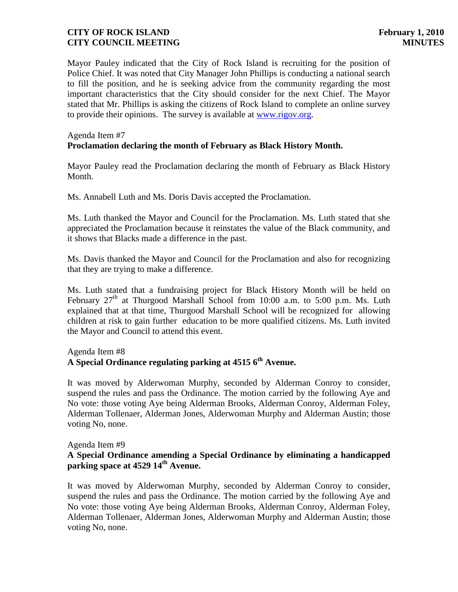Mayor Pauley indicated that the City of Rock Island is recruiting for the position of Police Chief. It was noted that City Manager John Phillips is conducting a national search to fill the position, and he is seeking advice from the community regarding the most important characteristics that the City should consider for the next Chief. The Mayor stated that Mr. Phillips is asking the citizens of Rock Island to complete an online survey to provide their opinions. The survey is available at [www.rigov.org.](http://www.rigov.org/)

# Agenda Item #7 **Proclamation declaring the month of February as Black History Month.**

Mayor Pauley read the Proclamation declaring the month of February as Black History Month.

Ms. Annabell Luth and Ms. Doris Davis accepted the Proclamation.

Ms. Luth thanked the Mayor and Council for the Proclamation. Ms. Luth stated that she appreciated the Proclamation because it reinstates the value of the Black community, and it shows that Blacks made a difference in the past.

Ms. Davis thanked the Mayor and Council for the Proclamation and also for recognizing that they are trying to make a difference.

Ms. Luth stated that a fundraising project for Black History Month will be held on February  $27<sup>th</sup>$  at Thurgood Marshall School from 10:00 a.m. to 5:00 p.m. Ms. Luth explained that at that time, Thurgood Marshall School will be recognized for allowing children at risk to gain further education to be more qualified citizens. Ms. Luth invited the Mayor and Council to attend this event.

# Agenda Item #8

# **A Special Ordinance regulating parking at 4515 6th Avenue.**

It was moved by Alderwoman Murphy, seconded by Alderman Conroy to consider, suspend the rules and pass the Ordinance. The motion carried by the following Aye and No vote: those voting Aye being Alderman Brooks, Alderman Conroy, Alderman Foley, Alderman Tollenaer, Alderman Jones, Alderwoman Murphy and Alderman Austin; those voting No, none.

#### Agenda Item #9

### **A Special Ordinance amending a Special Ordinance by eliminating a handicapped parking space at 4529 14th Avenue.**

It was moved by Alderwoman Murphy, seconded by Alderman Conroy to consider, suspend the rules and pass the Ordinance. The motion carried by the following Aye and No vote: those voting Aye being Alderman Brooks, Alderman Conroy, Alderman Foley, Alderman Tollenaer, Alderman Jones, Alderwoman Murphy and Alderman Austin; those voting No, none.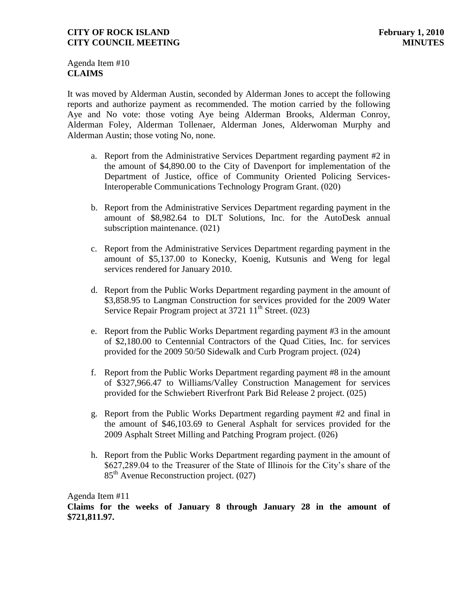Agenda Item #10 **CLAIMS**

It was moved by Alderman Austin, seconded by Alderman Jones to accept the following reports and authorize payment as recommended. The motion carried by the following Aye and No vote: those voting Aye being Alderman Brooks, Alderman Conroy, Alderman Foley, Alderman Tollenaer, Alderman Jones, Alderwoman Murphy and Alderman Austin; those voting No, none.

- a. Report from the Administrative Services Department regarding payment #2 in the amount of \$4,890.00 to the City of Davenport for implementation of the Department of Justice, office of Community Oriented Policing Services-Interoperable Communications Technology Program Grant. (020)
- b. Report from the Administrative Services Department regarding payment in the amount of \$8,982.64 to DLT Solutions, Inc. for the AutoDesk annual subscription maintenance. (021)
- c. Report from the Administrative Services Department regarding payment in the amount of \$5,137.00 to Konecky, Koenig, Kutsunis and Weng for legal services rendered for January 2010.
- d. Report from the Public Works Department regarding payment in the amount of \$3,858.95 to Langman Construction for services provided for the 2009 Water Service Repair Program project at  $3721 \, 11^{\text{th}}$  Street. (023)
- e. Report from the Public Works Department regarding payment #3 in the amount of \$2,180.00 to Centennial Contractors of the Quad Cities, Inc. for services provided for the 2009 50/50 Sidewalk and Curb Program project. (024)
- f. Report from the Public Works Department regarding payment #8 in the amount of \$327,966.47 to Williams/Valley Construction Management for services provided for the Schwiebert Riverfront Park Bid Release 2 project. (025)
- g. Report from the Public Works Department regarding payment #2 and final in the amount of \$46,103.69 to General Asphalt for services provided for the 2009 Asphalt Street Milling and Patching Program project. (026)
- h. Report from the Public Works Department regarding payment in the amount of \$627,289.04 to the Treasurer of the State of Illinois for the City's share of the  $85<sup>th</sup>$  Avenue Reconstruction project. (027)

#### Agenda Item #11

**Claims for the weeks of January 8 through January 28 in the amount of \$721,811.97.**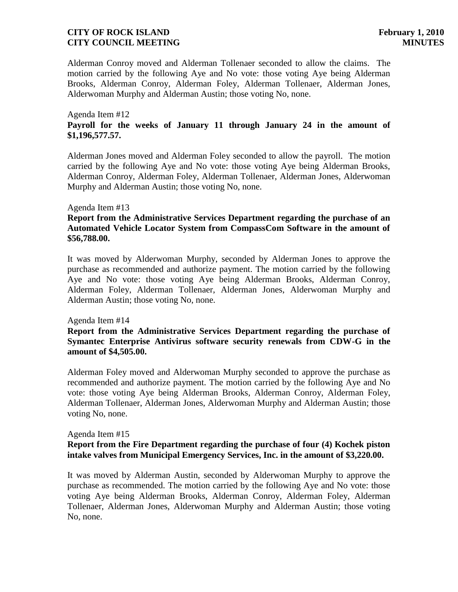Alderman Conroy moved and Alderman Tollenaer seconded to allow the claims. The motion carried by the following Aye and No vote: those voting Aye being Alderman Brooks, Alderman Conroy, Alderman Foley, Alderman Tollenaer, Alderman Jones, Alderwoman Murphy and Alderman Austin; those voting No, none.

#### Agenda Item #12 **Payroll for the weeks of January 11 through January 24 in the amount of \$1,196,577.57.**

Alderman Jones moved and Alderman Foley seconded to allow the payroll. The motion carried by the following Aye and No vote: those voting Aye being Alderman Brooks, Alderman Conroy, Alderman Foley, Alderman Tollenaer, Alderman Jones, Alderwoman Murphy and Alderman Austin; those voting No, none.

#### Agenda Item #13

### **Report from the Administrative Services Department regarding the purchase of an Automated Vehicle Locator System from CompassCom Software in the amount of \$56,788.00.**

It was moved by Alderwoman Murphy, seconded by Alderman Jones to approve the purchase as recommended and authorize payment. The motion carried by the following Aye and No vote: those voting Aye being Alderman Brooks, Alderman Conroy, Alderman Foley, Alderman Tollenaer, Alderman Jones, Alderwoman Murphy and Alderman Austin; those voting No, none.

#### Agenda Item #14

#### **Report from the Administrative Services Department regarding the purchase of Symantec Enterprise Antivirus software security renewals from CDW-G in the amount of \$4,505.00.**

Alderman Foley moved and Alderwoman Murphy seconded to approve the purchase as recommended and authorize payment. The motion carried by the following Aye and No vote: those voting Aye being Alderman Brooks, Alderman Conroy, Alderman Foley, Alderman Tollenaer, Alderman Jones, Alderwoman Murphy and Alderman Austin; those voting No, none.

#### Agenda Item #15 **Report from the Fire Department regarding the purchase of four (4) Kochek piston intake valves from Municipal Emergency Services, Inc. in the amount of \$3,220.00.**

It was moved by Alderman Austin, seconded by Alderwoman Murphy to approve the purchase as recommended. The motion carried by the following Aye and No vote: those voting Aye being Alderman Brooks, Alderman Conroy, Alderman Foley, Alderman Tollenaer, Alderman Jones, Alderwoman Murphy and Alderman Austin; those voting No, none.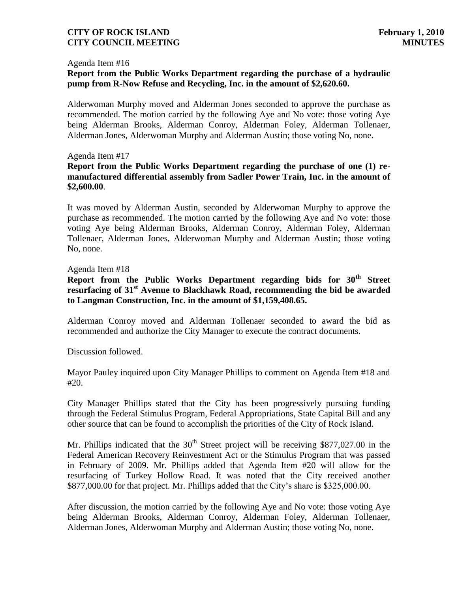#### Agenda Item #16

# **Report from the Public Works Department regarding the purchase of a hydraulic pump from R-Now Refuse and Recycling, Inc. in the amount of \$2,620.60.**

Alderwoman Murphy moved and Alderman Jones seconded to approve the purchase as recommended. The motion carried by the following Aye and No vote: those voting Aye being Alderman Brooks, Alderman Conroy, Alderman Foley, Alderman Tollenaer, Alderman Jones, Alderwoman Murphy and Alderman Austin; those voting No, none.

#### Agenda Item #17

### **Report from the Public Works Department regarding the purchase of one (1) remanufactured differential assembly from Sadler Power Train, Inc. in the amount of \$2,600.00**.

It was moved by Alderman Austin, seconded by Alderwoman Murphy to approve the purchase as recommended. The motion carried by the following Aye and No vote: those voting Aye being Alderman Brooks, Alderman Conroy, Alderman Foley, Alderman Tollenaer, Alderman Jones, Alderwoman Murphy and Alderman Austin; those voting No, none.

#### Agenda Item #18

**Report from the Public Works Department regarding bids for 30th Street resurfacing of 31st Avenue to Blackhawk Road, recommending the bid be awarded to Langman Construction, Inc. in the amount of \$1,159,408.65.**

Alderman Conroy moved and Alderman Tollenaer seconded to award the bid as recommended and authorize the City Manager to execute the contract documents.

Discussion followed.

Mayor Pauley inquired upon City Manager Phillips to comment on Agenda Item #18 and #20.

City Manager Phillips stated that the City has been progressively pursuing funding through the Federal Stimulus Program, Federal Appropriations, State Capital Bill and any other source that can be found to accomplish the priorities of the City of Rock Island.

Mr. Phillips indicated that the  $30<sup>th</sup>$  Street project will be receiving \$877,027.00 in the Federal American Recovery Reinvestment Act or the Stimulus Program that was passed in February of 2009. Mr. Phillips added that Agenda Item #20 will allow for the resurfacing of Turkey Hollow Road. It was noted that the City received another \$877,000.00 for that project. Mr. Phillips added that the City's share is \$325,000.00.

After discussion, the motion carried by the following Aye and No vote: those voting Aye being Alderman Brooks, Alderman Conroy, Alderman Foley, Alderman Tollenaer, Alderman Jones, Alderwoman Murphy and Alderman Austin; those voting No, none.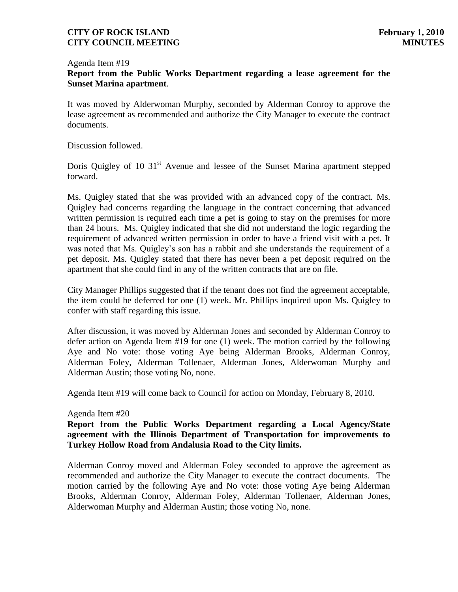#### Agenda Item #19

### **Report from the Public Works Department regarding a lease agreement for the Sunset Marina apartment**.

It was moved by Alderwoman Murphy, seconded by Alderman Conroy to approve the lease agreement as recommended and authorize the City Manager to execute the contract documents.

Discussion followed.

Doris Quigley of 10 31<sup>st</sup> Avenue and lessee of the Sunset Marina apartment stepped forward.

Ms. Quigley stated that she was provided with an advanced copy of the contract. Ms. Quigley had concerns regarding the language in the contract concerning that advanced written permission is required each time a pet is going to stay on the premises for more than 24 hours. Ms. Quigley indicated that she did not understand the logic regarding the requirement of advanced written permission in order to have a friend visit with a pet. It was noted that Ms. Quigley's son has a rabbit and she understands the requirement of a pet deposit. Ms. Quigley stated that there has never been a pet deposit required on the apartment that she could find in any of the written contracts that are on file.

City Manager Phillips suggested that if the tenant does not find the agreement acceptable, the item could be deferred for one (1) week. Mr. Phillips inquired upon Ms. Quigley to confer with staff regarding this issue.

After discussion, it was moved by Alderman Jones and seconded by Alderman Conroy to defer action on Agenda Item #19 for one (1) week. The motion carried by the following Aye and No vote: those voting Aye being Alderman Brooks, Alderman Conroy, Alderman Foley, Alderman Tollenaer, Alderman Jones, Alderwoman Murphy and Alderman Austin; those voting No, none.

Agenda Item #19 will come back to Council for action on Monday, February 8, 2010.

#### Agenda Item #20

**Report from the Public Works Department regarding a Local Agency/State agreement with the Illinois Department of Transportation for improvements to Turkey Hollow Road from Andalusia Road to the City limits.** 

Alderman Conroy moved and Alderman Foley seconded to approve the agreement as recommended and authorize the City Manager to execute the contract documents. The motion carried by the following Aye and No vote: those voting Aye being Alderman Brooks, Alderman Conroy, Alderman Foley, Alderman Tollenaer, Alderman Jones, Alderwoman Murphy and Alderman Austin; those voting No, none.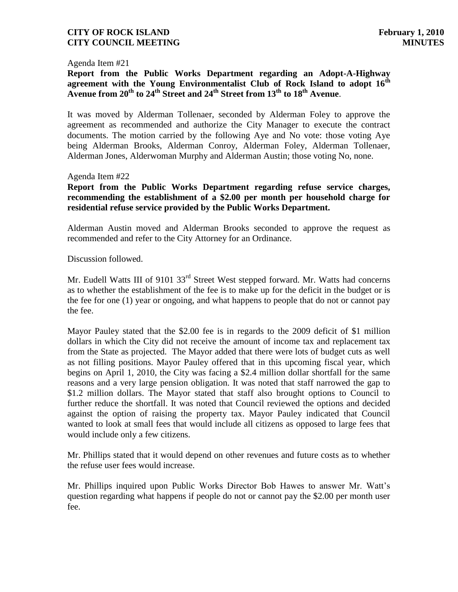Agenda Item #21

**Report from the Public Works Department regarding an Adopt-A-Highway agreement with the Young Environmentalist Club of Rock Island to adopt 16th Avenue from 20th to 24th Street and 24th Street from 13th to 18th Avenue**.

It was moved by Alderman Tollenaer, seconded by Alderman Foley to approve the agreement as recommended and authorize the City Manager to execute the contract documents. The motion carried by the following Aye and No vote: those voting Aye being Alderman Brooks, Alderman Conroy, Alderman Foley, Alderman Tollenaer, Alderman Jones, Alderwoman Murphy and Alderman Austin; those voting No, none.

Agenda Item #22

**Report from the Public Works Department regarding refuse service charges, recommending the establishment of a \$2.00 per month per household charge for residential refuse service provided by the Public Works Department.**

Alderman Austin moved and Alderman Brooks seconded to approve the request as recommended and refer to the City Attorney for an Ordinance.

Discussion followed.

Mr. Eudell Watts III of 9101 33<sup>rd</sup> Street West stepped forward. Mr. Watts had concerns as to whether the establishment of the fee is to make up for the deficit in the budget or is the fee for one (1) year or ongoing, and what happens to people that do not or cannot pay the fee.

Mayor Pauley stated that the \$2.00 fee is in regards to the 2009 deficit of \$1 million dollars in which the City did not receive the amount of income tax and replacement tax from the State as projected. The Mayor added that there were lots of budget cuts as well as not filling positions. Mayor Pauley offered that in this upcoming fiscal year, which begins on April 1, 2010, the City was facing a \$2.4 million dollar shortfall for the same reasons and a very large pension obligation. It was noted that staff narrowed the gap to \$1.2 million dollars. The Mayor stated that staff also brought options to Council to further reduce the shortfall. It was noted that Council reviewed the options and decided against the option of raising the property tax. Mayor Pauley indicated that Council wanted to look at small fees that would include all citizens as opposed to large fees that would include only a few citizens.

Mr. Phillips stated that it would depend on other revenues and future costs as to whether the refuse user fees would increase.

Mr. Phillips inquired upon Public Works Director Bob Hawes to answer Mr. Watt's question regarding what happens if people do not or cannot pay the \$2.00 per month user fee.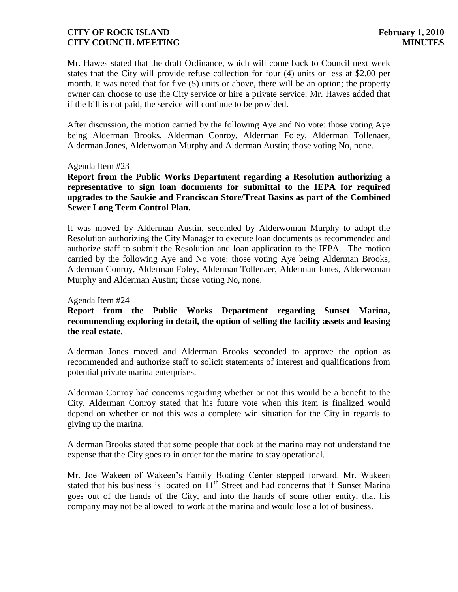Mr. Hawes stated that the draft Ordinance, which will come back to Council next week states that the City will provide refuse collection for four (4) units or less at \$2.00 per month. It was noted that for five (5) units or above, there will be an option; the property owner can choose to use the City service or hire a private service. Mr. Hawes added that if the bill is not paid, the service will continue to be provided.

After discussion, the motion carried by the following Aye and No vote: those voting Aye being Alderman Brooks, Alderman Conroy, Alderman Foley, Alderman Tollenaer, Alderman Jones, Alderwoman Murphy and Alderman Austin; those voting No, none.

#### Agenda Item #23

**Report from the Public Works Department regarding a Resolution authorizing a representative to sign loan documents for submittal to the IEPA for required upgrades to the Saukie and Franciscan Store/Treat Basins as part of the Combined Sewer Long Term Control Plan.**

It was moved by Alderman Austin, seconded by Alderwoman Murphy to adopt the Resolution authorizing the City Manager to execute loan documents as recommended and authorize staff to submit the Resolution and loan application to the IEPA. The motion carried by the following Aye and No vote: those voting Aye being Alderman Brooks, Alderman Conroy, Alderman Foley, Alderman Tollenaer, Alderman Jones, Alderwoman Murphy and Alderman Austin; those voting No, none.

#### Agenda Item #24

# **Report from the Public Works Department regarding Sunset Marina, recommending exploring in detail, the option of selling the facility assets and leasing the real estate.**

Alderman Jones moved and Alderman Brooks seconded to approve the option as recommended and authorize staff to solicit statements of interest and qualifications from potential private marina enterprises.

Alderman Conroy had concerns regarding whether or not this would be a benefit to the City. Alderman Conroy stated that his future vote when this item is finalized would depend on whether or not this was a complete win situation for the City in regards to giving up the marina.

Alderman Brooks stated that some people that dock at the marina may not understand the expense that the City goes to in order for the marina to stay operational.

Mr. Joe Wakeen of Wakeen's Family Boating Center stepped forward. Mr. Wakeen stated that his business is located on  $11<sup>th</sup>$  Street and had concerns that if Sunset Marina goes out of the hands of the City, and into the hands of some other entity, that his company may not be allowed to work at the marina and would lose a lot of business.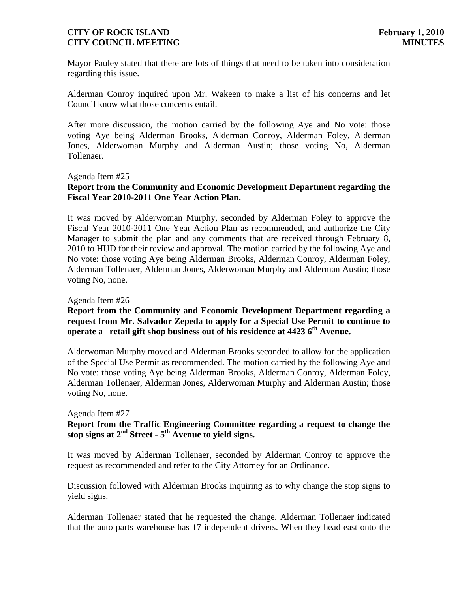Mayor Pauley stated that there are lots of things that need to be taken into consideration regarding this issue.

Alderman Conroy inquired upon Mr. Wakeen to make a list of his concerns and let Council know what those concerns entail.

After more discussion, the motion carried by the following Aye and No vote: those voting Aye being Alderman Brooks, Alderman Conroy, Alderman Foley, Alderman Jones, Alderwoman Murphy and Alderman Austin; those voting No, Alderman Tollenaer.

Agenda Item #25

# **Report from the Community and Economic Development Department regarding the Fiscal Year 2010-2011 One Year Action Plan.**

It was moved by Alderwoman Murphy, seconded by Alderman Foley to approve the Fiscal Year 2010-2011 One Year Action Plan as recommended, and authorize the City Manager to submit the plan and any comments that are received through February 8, 2010 to HUD for their review and approval. The motion carried by the following Aye and No vote: those voting Aye being Alderman Brooks, Alderman Conroy, Alderman Foley, Alderman Tollenaer, Alderman Jones, Alderwoman Murphy and Alderman Austin; those voting No, none.

#### Agenda Item #26

#### **Report from the Community and Economic Development Department regarding a request from Mr. Salvador Zepeda to apply for a Special Use Permit to continue to operate a retail gift shop business out of his residence at 4423 6th Avenue.**

Alderwoman Murphy moved and Alderman Brooks seconded to allow for the application of the Special Use Permit as recommended. The motion carried by the following Aye and No vote: those voting Aye being Alderman Brooks, Alderman Conroy, Alderman Foley, Alderman Tollenaer, Alderman Jones, Alderwoman Murphy and Alderman Austin; those voting No, none.

#### Agenda Item #27

# **Report from the Traffic Engineering Committee regarding a request to change the stop signs at 2nd Street - 5 th Avenue to yield signs.**

It was moved by Alderman Tollenaer, seconded by Alderman Conroy to approve the request as recommended and refer to the City Attorney for an Ordinance.

Discussion followed with Alderman Brooks inquiring as to why change the stop signs to yield signs.

Alderman Tollenaer stated that he requested the change. Alderman Tollenaer indicated that the auto parts warehouse has 17 independent drivers. When they head east onto the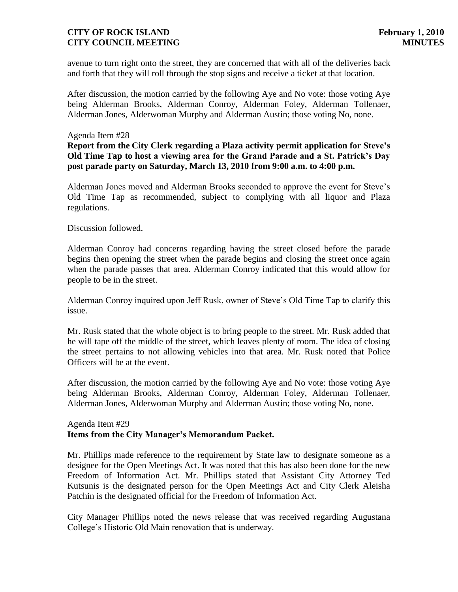avenue to turn right onto the street, they are concerned that with all of the deliveries back and forth that they will roll through the stop signs and receive a ticket at that location.

After discussion, the motion carried by the following Aye and No vote: those voting Aye being Alderman Brooks, Alderman Conroy, Alderman Foley, Alderman Tollenaer, Alderman Jones, Alderwoman Murphy and Alderman Austin; those voting No, none.

#### Agenda Item #28

## **Report from the City Clerk regarding a Plaza activity permit application for Steve's Old Time Tap to host a viewing area for the Grand Parade and a St. Patrick's Day post parade party on Saturday, March 13, 2010 from 9:00 a.m. to 4:00 p.m.**

Alderman Jones moved and Alderman Brooks seconded to approve the event for Steve's Old Time Tap as recommended, subject to complying with all liquor and Plaza regulations.

#### Discussion followed.

Alderman Conroy had concerns regarding having the street closed before the parade begins then opening the street when the parade begins and closing the street once again when the parade passes that area. Alderman Conroy indicated that this would allow for people to be in the street.

Alderman Conroy inquired upon Jeff Rusk, owner of Steve's Old Time Tap to clarify this issue.

Mr. Rusk stated that the whole object is to bring people to the street. Mr. Rusk added that he will tape off the middle of the street, which leaves plenty of room. The idea of closing the street pertains to not allowing vehicles into that area. Mr. Rusk noted that Police Officers will be at the event.

After discussion, the motion carried by the following Aye and No vote: those voting Aye being Alderman Brooks, Alderman Conroy, Alderman Foley, Alderman Tollenaer, Alderman Jones, Alderwoman Murphy and Alderman Austin; those voting No, none.

#### Agenda Item #29 **Items from the City Manager's Memorandum Packet.**

Mr. Phillips made reference to the requirement by State law to designate someone as a designee for the Open Meetings Act. It was noted that this has also been done for the new Freedom of Information Act. Mr. Phillips stated that Assistant City Attorney Ted Kutsunis is the designated person for the Open Meetings Act and City Clerk Aleisha Patchin is the designated official for the Freedom of Information Act.

City Manager Phillips noted the news release that was received regarding Augustana College's Historic Old Main renovation that is underway.